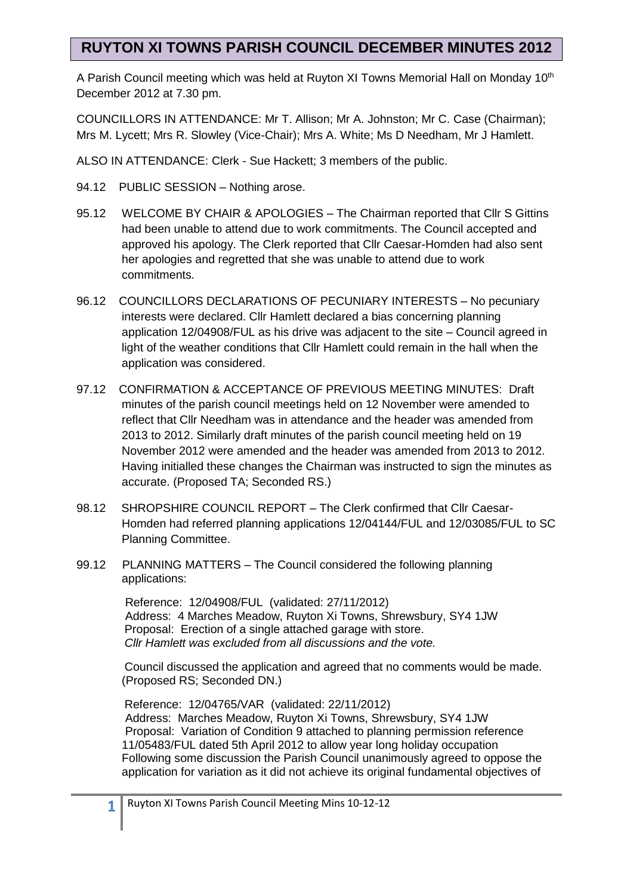## **RUYTON XI TOWNS PARISH COUNCIL DECEMBER MINUTES 2012**

A Parish Council meeting which was held at Ruyton XI Towns Memorial Hall on Monday 10<sup>th</sup> December 2012 at 7.30 pm.

COUNCILLORS IN ATTENDANCE: Mr T. Allison; Mr A. Johnston; Mr C. Case (Chairman); Mrs M. Lycett; Mrs R. Slowley (Vice-Chair); Mrs A. White; Ms D Needham, Mr J Hamlett.

ALSO IN ATTENDANCE: Clerk - Sue Hackett; 3 members of the public.

- 94.12 PUBLIC SESSION Nothing arose.
- 95.12 WELCOME BY CHAIR & APOLOGIES The Chairman reported that Cllr S Gittins had been unable to attend due to work commitments. The Council accepted and approved his apology. The Clerk reported that Cllr Caesar-Homden had also sent her apologies and regretted that she was unable to attend due to work commitments.
- 96.12 COUNCILLORS DECLARATIONS OF PECUNIARY INTERESTS No pecuniary interests were declared. Cllr Hamlett declared a bias concerning planning application 12/04908/FUL as his drive was adjacent to the site – Council agreed in light of the weather conditions that Cllr Hamlett could remain in the hall when the application was considered.
- 97.12 CONFIRMATION & ACCEPTANCE OF PREVIOUS MEETING MINUTES: Draft minutes of the parish council meetings held on 12 November were amended to reflect that Cllr Needham was in attendance and the header was amended from 2013 to 2012. Similarly draft minutes of the parish council meeting held on 19 November 2012 were amended and the header was amended from 2013 to 2012. Having initialled these changes the Chairman was instructed to sign the minutes as accurate. (Proposed TA; Seconded RS.)
- 98.12 SHROPSHIRE COUNCIL REPORT The Clerk confirmed that Cllr Caesar-Homden had referred planning applications 12/04144/FUL and 12/03085/FUL to SC Planning Committee.
- 99.12 PLANNING MATTERS The Council considered the following planning applications:

Reference: 12/04908/FUL (validated: 27/11/2012) Address: 4 Marches Meadow, Ruyton Xi Towns, Shrewsbury, SY4 1JW Proposal: Erection of a single attached garage with store.  *Cllr Hamlett was excluded from all discussions and the vote.*

 Council discussed the application and agreed that no comments would be made. (Proposed RS; Seconded DN.)

 Reference: 12/04765/VAR (validated: 22/11/2012) Address: Marches Meadow, Ruyton Xi Towns, Shrewsbury, SY4 1JW Proposal: Variation of Condition 9 attached to planning permission reference 11/05483/FUL dated 5th April 2012 to allow year long holiday occupation Following some discussion the Parish Council unanimously agreed to oppose the application for variation as it did not achieve its original fundamental objectives of

**1**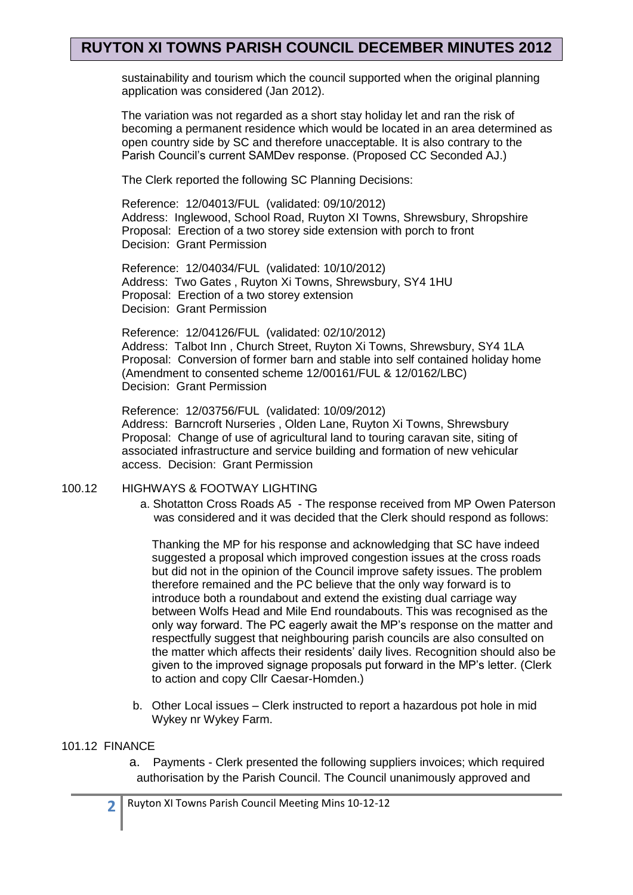### **RUYTON XI TOWNS PARISH COUNCIL DECEMBER MINUTES 2012**

sustainability and tourism which the council supported when the original planning application was considered (Jan 2012).

 The variation was not regarded as a short stay holiday let and ran the risk of becoming a permanent residence which would be located in an area determined as open country side by SC and therefore unacceptable. It is also contrary to the Parish Council's current SAMDev response. (Proposed CC Seconded AJ.)

The Clerk reported the following SC Planning Decisions:

Reference: 12/04013/FUL (validated: 09/10/2012) Address: Inglewood, School Road, Ruyton XI Towns, Shrewsbury, Shropshire Proposal: Erection of a two storey side extension with porch to front Decision: Grant Permission

Reference: 12/04034/FUL (validated: 10/10/2012) Address: Two Gates , Ruyton Xi Towns, Shrewsbury, SY4 1HU Proposal: Erection of a two storey extension Decision: Grant Permission

Reference: 12/04126/FUL (validated: 02/10/2012) Address: Talbot Inn , Church Street, Ruyton Xi Towns, Shrewsbury, SY4 1LA Proposal: Conversion of former barn and stable into self contained holiday home (Amendment to consented scheme 12/00161/FUL & 12/0162/LBC) Decision: Grant Permission

Reference: 12/03756/FUL (validated: 10/09/2012) Address: Barncroft Nurseries , Olden Lane, Ruyton Xi Towns, Shrewsbury Proposal: Change of use of agricultural land to touring caravan site, siting of associated infrastructure and service building and formation of new vehicular access. Decision: Grant Permission

### 100.12 HIGHWAYS & FOOTWAY LIGHTING

a. Shotatton Cross Roads A5 - The response received from MP Owen Paterson was considered and it was decided that the Clerk should respond as follows:

Thanking the MP for his response and acknowledging that SC have indeed suggested a proposal which improved congestion issues at the cross roads but did not in the opinion of the Council improve safety issues. The problem therefore remained and the PC believe that the only way forward is to introduce both a roundabout and extend the existing dual carriage way between Wolfs Head and Mile End roundabouts. This was recognised as the only way forward. The PC eagerly await the MP's response on the matter and respectfully suggest that neighbouring parish councils are also consulted on the matter which affects their residents' daily lives. Recognition should also be given to the improved signage proposals put forward in the MP's letter. (Clerk to action and copy Cllr Caesar-Homden.)

b. Other Local issues – Clerk instructed to report a hazardous pot hole in mid Wykey nr Wykey Farm.

#### 101.12 FINANCE

a. Payments - Clerk presented the following suppliers invoices; which required authorisation by the Parish Council. The Council unanimously approved and